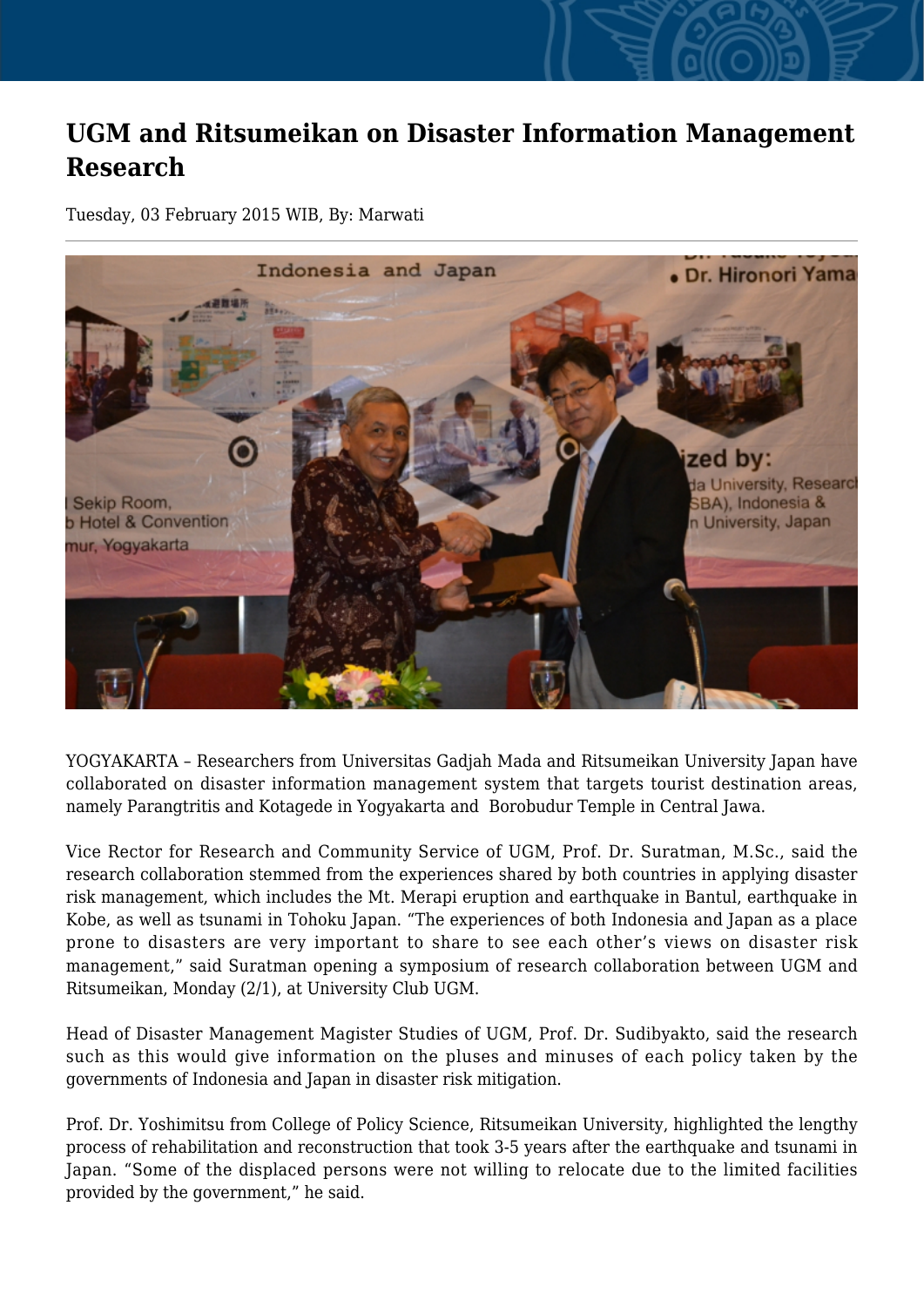## **UGM and Ritsumeikan on Disaster Information Management Research**

Tuesday, 03 February 2015 WIB, By: Marwati



YOGYAKARTA – Researchers from Universitas Gadjah Mada and Ritsumeikan University Japan have collaborated on disaster information management system that targets tourist destination areas, namely Parangtritis and Kotagede in Yogyakarta and Borobudur Temple in Central Jawa.

Vice Rector for Research and Community Service of UGM, Prof. Dr. Suratman, M.Sc., said the research collaboration stemmed from the experiences shared by both countries in applying disaster risk management, which includes the Mt. Merapi eruption and earthquake in Bantul, earthquake in Kobe, as well as tsunami in Tohoku Japan. "The experiences of both Indonesia and Japan as a place prone to disasters are very important to share to see each other's views on disaster risk management," said Suratman opening a symposium of research collaboration between UGM and Ritsumeikan, Monday (2/1), at University Club UGM.

Head of Disaster Management Magister Studies of UGM, Prof. Dr. Sudibyakto, said the research such as this would give information on the pluses and minuses of each policy taken by the governments of Indonesia and Japan in disaster risk mitigation.

Prof. Dr. Yoshimitsu from College of Policy Science, Ritsumeikan University, highlighted the lengthy process of rehabilitation and reconstruction that took 3-5 years after the earthquake and tsunami in Japan. "Some of the displaced persons were not willing to relocate due to the limited facilities provided by the government," he said.